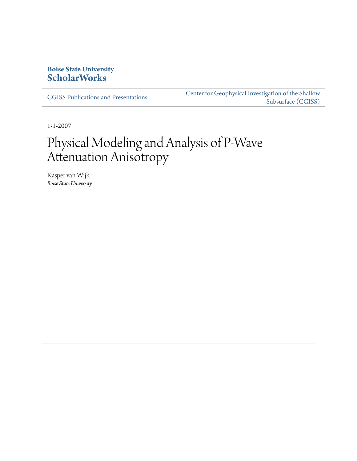## **Boise State University [ScholarWorks](https://scholarworks.boisestate.edu)**

[CGISS Publications and Presentations](https://scholarworks.boisestate.edu/cgiss_facpubs)

[Center for Geophysical Investigation of the Shallow](https://scholarworks.boisestate.edu/cgiss) [Subsurface \(CGISS\)](https://scholarworks.boisestate.edu/cgiss)

1-1-2007

# Physical Modeling and Analysis of P-Wave Attenuation Anisotropy

Kasper van Wijk *Boise State University*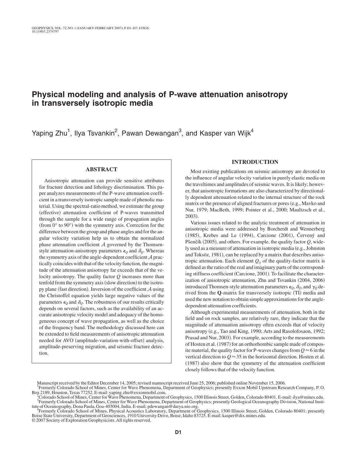### **Physical modeling and analysis of P-wave attenuation anisotropy in transversely isotropic media**

Yaping Zhu<sup>1</sup>, Ilya Tsvankin<sup>2</sup>, Pawan Dewangan<sup>3</sup>, and Kasper van Wijk<sup>4</sup>

#### **ABSTRACT**

Anisotropic attenuation can provide sensitive attributes for fracture detection and lithology discrimination. This paper analyzes measurements of the P-wave attenuation coefficient in a transversely isotropic sample made of phenolic material. Using the spectral-ratio method, we estimate the group (effective) attenuation coefficient of P-waves transmitted through the sample for a wide range of propagation angles (from  $0^{\circ}$  to  $90^{\circ}$ ) with the symmetry axis. Correction for the difference between the group and phase angles and for the angular velocity variation help us to obtain the normalized phase attenuation coefficient  $A$  governed by the Thomsenstyle attenuation-anisotropy parameters  $\epsilon_{\varrho}$  and  $\delta_{\varrho}$ . Whereas the symmetry axis of the angle-dependent coefficient  $A$  practically coincides with that of the velocity function, the magnitude of the attenuation anisotropy far exceeds that of the velocity anisotropy. The quality factor *Q* increases more than tenfold from the symmetry axis (slow direction) to the isotropy plane (fast direction). Inversion of the coefficient  $A$  using the Christoffel equation yields large negative values of the parameters  $\epsilon_Q$  and  $\delta_Q$ . The robustness of our results critically depends on several factors, such as the availability of an accurate anisotropic velocity model and adequacy of the homogeneous concept of wave propagation, as well as the choice of the frequency band. The methodology discussed here can be extended to field measurements of anisotropic attenuation needed for AVO (amplitude-variation-with-offset) analysis, amplitude-preserving migration, and seismic fracture detection.

#### **INTRODUCTION**

Most existing publications on seismic anisotropy are devoted to the influence of angular velocity variation in purely elastic media on the traveltimes and amplitudes of seismic waves. It is likely; however, that anisotropic formations are also characterized by directionally dependent attenuation related to the internal structure of the rock matrix or the presence of aligned fractures or pores (e.g., Mavko and Nur, 1979; MacBeth, 1999; Pointer et al., 2000; Maultzsch et al., 2003).

Various issues related to the analytic treatment of attenuation in anisotropic media were addressed by Borcherdt and Wennerberg (1985), Krebes and Le (1994), Carcione (2001), Červený and Pšenčík (2005), and others. For example, the quality factor *Q*, widely used as a measure of attenuation in isotropic media (e.g., Johnston and Toksöz, 1981), can be replaced by a matrix that describes anisotropic attenuation. Each element  $Q_{ij}$  of the quality-factor matrix is defined as the ratio of the real and imaginary parts of the corresponding stiffness coefficient (Carcione, 2001). To facilitate the characterization of anisotropic attenuation, Zhu and Tsvankin (2004, 2006) introduced Thomsen-style attenuation parameters  $\epsilon_{\varrho}$ ,  $\delta_{\varrho}$ , and  $\gamma_{\varrho}$  derived from the **Q**-matrix for transversely isotropic (TI) media and used the new notation to obtain simple approximations for the angledependent attenuation coefficients.

Although experimental measurements of attenuation, both in the field and on rock samples, are relatively rare, they indicate that the magnitude of attenuation anisotropy often exceeds that of velocity anisotropy (e.g., Tao and King, 1990; Arts and Rasolofosaon, 1992; Prasad and Nur, 2003). For example, according to the measurements of Hosten et al. (1987) for an orthorhombic sample made of composite material, the quality factor for P-waves changes from  $Q \approx 6$  in the vertical direction to  $Q \approx 35$  in the horizontal direction. Hosten et al. (1987) also show that the symmetry of the attenuation coefficient closely follows that of the velocity function.

Manuscript received by the Editor December 14, 2005; revised manuscript received June 25, 2006; published online November 15, 2006.

<sup>1</sup> Formerly Colorado School of Mines, Center for Wave Phenomena, Department of Geophysics; presently Exxon Mobil Upstream Research Company, P. O.

Box 2189, Houston, Texas 77252. E-mail: yaping.zhu@exxonmobil.com.<br>2 Colorado School of Mines, Center for Wave Phenomena, Department of Geophysics, 1500 Illinois Street, Golden, Colorado 80401. E-mail: ilya@mines.edu.<br>3 Eo <sup>3</sup>Formerly Colorado School of Mines, Center for Wave Phenomena, Department of Geophysics; presently Geological Oceanography Division, National Institute of Oceanography, Dona Paula, Goa-403004, India. E-mail: pdewangan@darya.nio.org. <sup>4</sup>

Formerly Colorado School of Mines, Physical Acoustics Laboratory, Department of Geophysics, 1500 Illinois Street, Golden, Colorado 80401; presently Boise State University, Department of Geosciences, 1910 University Drive, Boise, Idaho 83725. E-mail: kasper@dix.mines.edu. © 2007 Society of Exploration Geophysicists.All rights reserved.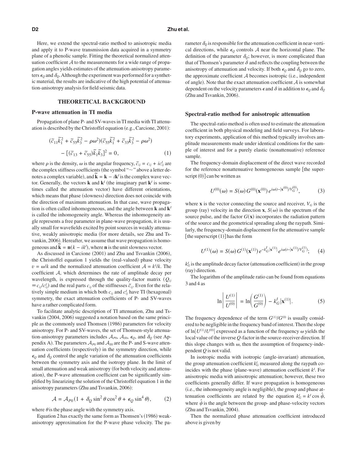#### **D2 Zhu et al.**

Here, we extend the spectral-ratio method to anisotropic media and apply it to P-wave transmission data acquired in a symmetry plane of a phenolic sample. Fitting the theoretical normalized attenuation coefficient  $A$  to the measurements for a wide range of propagation angles yields estimates of the attenuation-anisotropy parameters  $\epsilon_Q$  and  $\delta_Q$ . Although the experiment was performed for a synthetic material, the results are indicative of the high potential of attenuation-anisotropy analysis for field seismic data.

#### **THEORETICAL BACKGROUND**

#### **P-wave attenuation in TI media**

Propagation of plane P- and SV-waves in TI media with TI attenuation is described by the Christoffel equation (e.g., Carcione, 2001):

$$
(\tilde{c}_{11}\tilde{k}_1^2 + \tilde{c}_{55}\tilde{k}_3^2 - \rho\omega^2)(\tilde{c}_{55}\tilde{k}_1^2 + \tilde{c}_{33}\tilde{k}_3^2 - \rho\omega^2) - [(\tilde{c}_{13} + \tilde{c}_{55})\tilde{k}_1\tilde{k}_3]^2 = 0,
$$
 (1)

where  $\rho$  is the density,  $\omega$  is the angular frequency,  $\tilde{c}_{ij} = c_{ij} + i c_{ij}^l$  are the complex stiffness coefficients (the symbol " $\sim$ " above a letter denotes a complex variable), and  $\tilde{\mathbf{k}} = \mathbf{k} - i\mathbf{k}$ <sup>*i*</sup> is the complex wave vector. Generally, the vectors **k** and  $\mathbf{k}^{I}$  (the imaginary part  $\mathbf{k}^{I}$  is sometimes called the attenuation vector) have different orientations, which means that phase (slowness) direction does not coincide with the direction of maximum attenuation. In that case, wave propagation is often called inhomogeneous, and the angle between **k** and **k***<sup>I</sup>* is called the inhomogeneity angle. Whereas the inhomogeneity angle represents a free parameter in plane-wave propagation, it is usually small for wavefields excited by point sources in weakly attenuative, weakly anisotropic media (for more details, see Zhu and Tsvankin, 2006). Hereafter, we assume that wave propagation is homogeneous and  $\tilde{\mathbf{k}} = \mathbf{n}(k - ik^l)$ , where **n** is the unit slowness vector.

As discussed in Carcione (2001) and Zhu and Tsvankin (2006), the Christoffel equation 1 yields the (real-valued) phase velocity  $v = \omega/k$  and the normalized attenuation coefficient  $A = k^l/k$ . The coefficient A, which determines the rate of amplitude decay per wavelength, is expressed through the quality-factor matrix  $(Q_{ij})$  $\equiv c_{ij}/c_{ij}^I$ ) and the real parts  $c_{ij}$  of the stiffnesses  $\tilde{c}_{ij}$ . Even for the relatively simple medium in which both  $c_{ij}$  and  $c_{ij}^I$  have TI (hexagonal) symmetry, the exact attenuation coefficients of P- and SV-waves have a rather complicated form.

To facilitate analytic description of TI attenuation, Zhu and Tsvankin (2004, 2006) suggested a notation based on the same principle as the commonly used Thomsen (1986) parameters for velocity anisotropy. For P- and SV-waves, the set of Thomsen-style attenuation-anisotropy parameters includes  $A_{p0}$ ,  $A_{s0}$ ,  $\epsilon_Q$ , and  $\delta_Q$  (see Appendix A). The parameters  $\mathcal{A}_{P0}$  and  $\mathcal{A}_{S0}$  are the P- and S-wave attenuation coefficients (respectively) in the symmetry direction, while  $\epsilon_Q$  and  $\delta_Q$  control the angle variation of the attenuation coefficients between the symmetry axis and the isotropy plane. In the limit of small attenuation and weak anisotropy (for both velocity and attenuation), the P-wave attenuation coefficient can be significantly simplified by linearizing the solution of the Christoffel equation 1 in the anisotropy parameters (Zhu and Tsvankin, 2006):

$$
\mathcal{A} = \mathcal{A}_{P0} (1 + \delta_Q \sin^2 \theta \cos^2 \theta + \epsilon_Q \sin^4 \theta), \qquad (2)
$$

where  $\theta$  is the phase angle with the symmetry axis.

Equation 2 has exactly the same form as Thomsen's (1986) weakanisotropy approximation for the P-wave phase velocity. The pa-

rameter  $\delta_{\mathcal{Q}}$  is responsible for the attenuation coefficient in near-vertical directions, while  $\epsilon_Q$  controls A near the horizontal plane. The definition of the parameter  $\delta_{\mathcal{Q}}$ ; however, is more complicated than that of Thomsen's parameter  $\delta$  and reflects the coupling between the anisotropy of attenuation and velocity. If both  $\epsilon_{Q}$  and  $\delta_{Q}$  go to zero, the approximate coefficient  $A$  becomes isotropic (i.e., independent of angle). Note that the exact attenuation coefficient  $A$  is somewhat dependent on the velocity parameters  $\epsilon$  and  $\delta$  in addition to  $\epsilon_Q$  and  $\delta_Q$ (Zhu and Tsvankin, 2006).

#### **Spectral-ratio method for anisotropic attenuation**

The spectral-ratio method is often used to estimate the attenuation coefficient in both physical modeling and field surveys. For laboratory experiments, application of this method typically involves amplitude measurements made under identical conditions for the sample of interest and for a purely elastic (nonattenuative) reference sample.

The frequency-domain displacement of the direct wave recorded for the reference nonattenuative homogeneous sample [the super $script(0)$ ] can be written as

$$
U^{(0)}(\omega) = S(\omega) G^{(0)}(\mathbf{x}^{(0)}) e^{i\omega(t - |\mathbf{x}^{(0)}| / V_G^{(0)})}, \tag{3}
$$

where **x** is the vector connecting the source and receiver,  $V_G$  is the group (ray) velocity in the direction **x**,  $S(\omega)$  is the spectrum of the source pulse, and the factor  $G(\mathbf{x})$  incorporates the radiation pattern of the source and the geometrical spreading along the raypath. Similarly, the frequency-domain displacement for the attenuative sample [the superscript  $(1)$ ] has the form

$$
U^{(1)}(\omega) = S(\omega) G^{(1)}(\mathbf{x}^{(1)}) e^{-k_G^l |\mathbf{x}^{(1)}|} e^{i\omega(t - |\mathbf{x}^{(1)}| / V_G^{(1)})}; \qquad (4)
$$

 $k_G^I$  is the amplitude decay factor (attenuation coefficient) in the group (ray) direction.

The logarithm of the amplitude ratio can be found from equations 3 and 4 as

$$
\ln \left| \frac{U^{(1)}}{U^{(0)}} \right| = \ln \left( \frac{G^{(1)}}{G^{(0)}} \right) - k_G^I |\mathbf{x}^{(1)}|.
$$
 (5)

The frequency dependence of the term  $G^{(1)}/G^{(0)}$  is usually considered to be negligible in the frequency band of interest. Then the slope of  $\ln |U^{(1)}/U^{(0)}|$  expressed as a function of the frequency  $\omega$  yields the local value of the inverse *Q*-factor in the source-receiver direction. If this slope changes with  $\omega$ , then the assumption of frequency-independent *Q* is not valid.

In isotropic media with isotropic (angle-invariant) attenuation, the group attenuation coefficient  $k_G$  measured along the raypath coincides with the phase (plane-wave) attenuation coefficient  $k<sup>I</sup>$ . For anisotropic media with anisotropic attenuation; however, these two coefficients generally differ. If wave propagation is homogeneous (i.e., the inhomogeneity angle is negligible), the group and phase attenuation coefficients are related by the equation  $k_G^I = k^I \cos \hat{\psi}$ , where  $\hat{\psi}$  is the angle between the group- and phase-velocity vectors (Zhu and Tsvankin, 2004).

Then the normalized phase attenuation coefficient introduced above is given by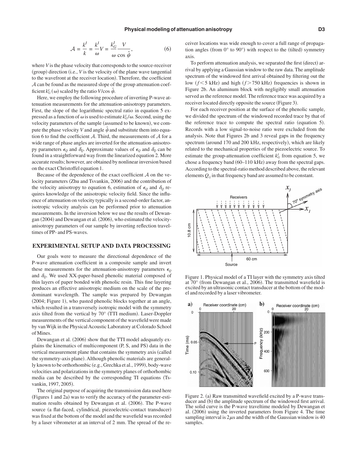$$
\mathcal{A} = \frac{k^l}{k} = \frac{k^l}{\omega} V = \frac{k_G^l}{\omega} \frac{V}{\cos \hat{\psi}},\tag{6}
$$

where *V* is the phase velocity that corresponds to the source-receiver (group) direction (i.e., *V* is the velocity of the plane wave tangential to the wavefront at the receiver location). Therefore, the coefficient A can be found as the measured slope of the group attenuation coefficient  $k_G^I(\omega)$  scaled by the ratio *V*/cos  $\hat{\psi}$ .

Here, we employ the following procedure of inverting P-wave attenuation measurements for the attenuation-anisotropy parameters. First, the slope of the logarithmic spectral ratio in equation 5 expressed as a function of  $\omega$  is used to estimate  $k_G^I/\omega$ . Second, using the velocity parameters of the sample (assumed to be known), we compute the phase velocity *V* and angle  $\hat{\psi}$  and substitute them into equation 6 to find the coefficient  $A$ . Third, the measurements of  $A$  for a wide range of phase angles are inverted for the attenuation-anisotropy parameters  $\epsilon_Q$  and  $\delta_Q$ . Approximate values of  $\epsilon_Q$  and  $\delta_Q$  can be found in a straightforward way from the linearized equation 2. More accurate results; however, are obtained by nonlinear inversion based on the exact Christoffel equation 1.

Because of the dependence of the exact coefficient  $A$  on the velocity parameters (Zhu and Tsvankin, 2006) and the contribution of the velocity anisotropy to equation 6, estimation of  $\epsilon_{\varrho}$  and  $\delta_{\varrho}$  requires knowledge of the anisotropic velocity field. Since the influence of attenuation on velocity typically is a second-order factor, anisotropic velocity analysis can be performed prior to attenuation measurements. In the inversion below we use the results of Dewangan (2004) and Dewangan et al. (2006), who estimated the velocityanisotropy parameters of our sample by inverting reflection traveltimes of PP- and PS-waves.

#### **EXPERIMENTAL SETUP AND DATA PROCESSING**

Our goals were to measure the directional dependence of the P-wave attenuation coefficient in a composite sample and invert these measurements for the attenuation-anisotropy parameters  $\epsilon_0$ and  $\delta_{\varrho}$ . We used XX-paper-based phenolic material composed of thin layers of paper bonded with phenolic resin. This fine layering produces an effective anisotropic medium on the scale of the predominant wavelength. The sample was prepared by Dewangan (2004; Figure 1), who pasted phenolic blocks together at an angle, which resulted in a transversely isotropic model with the symmetry axis tilted from the vertical by 70° (TTI medium). Laser-Doppler measurements of the vertical component of the wavefield were made by van Wijk in the Physical Acoustic Laboratory at Colorado School of Mines.

Dewangan et al. (2006) show that the TTI model adequately explains the kinematics of multicomponent (P, S, and PS) data in the vertical measurement plane that contains the symmetry axis called the symmetry-axis plane). Although phenolic materials are generally known to be orthorhombic (e.g., Grechka et al., 1999), body-wave velocities and polarizations in the symmetry planes of orthorhombic media can be described by the corresponding TI equations (Tsvankin, 1997, 2005).

The original purpose of acquiring the transmission data used here (Figures 1 and 2a) was to verify the accuracy of the parameter-estimation results obtained by Dewangan et al. (2006). The P-wave source (a flat-faced, cylindrical, piezoelectric-contact transducer) was fixed at the bottom of the model and the wavefield was recorded by a laser vibrometer at an interval of 2 mm. The spread of the receiver locations was wide enough to cover a full range of propagation angles (from  $0^{\circ}$  to  $90^{\circ}$ ) with respect to the (tilted) symmetry axis.

To perform attenuation analysis, we separated the first (direct) arrival by applying a Gaussian window to the raw data. The amplitude spectrum of the windowed first arrival obtained by filtering out the low  $(f \le 5$  kHz) and high  $(f \ge 750$  kHz) frequencies is shown in Figure 2b. An aluminum block with negligibly small attenuation served as the reference model. The reference trace was acquired by a receiver located directly opposite the source (Figure 3).

For each receiver position at the surface of the phenolic sample, we divided the spectrum of the windowed recorded trace by that of the reference trace to compute the spectral ratio (equation 5). Records with a low signal-to-noise ratio were excluded from the analysis. Note that Figures 2b and 3 reveal gaps in the frequency spectrum (around 170 and 200 kHz, respectively), which are likely related to the mechanical properties of the piezoelectric source. To estimate the group-attenuation coefficient  $k_G$  from equation 5, we chose a frequency band (60–110 kHz) away from the spectral gaps. According to the spectral-ratio method described above, the relevant elements  $Q_{ij}$  in that frequency band are assumed to be constant.



Figure 1. Physical model of a TI layer with the symmetry axis tilted at 70° (from Dewangan et al., 2006). The transmitted wavefield is excited by an ultrasonic contact transducer at the bottom of the model and recorded by a laser vibrometer.



Figure 2. (a) Raw transmitted wavefield excited by a P-wave transducer and (b) the amplitude spectrum of the windowed first arrival. The solid curve is the P-wave traveltime modeled by Dewangan et al. (2006) using the inverted parameters from Figure 4. The time sampling interval is  $2\mu s$  and the width of the Gaussian window is 40 samples.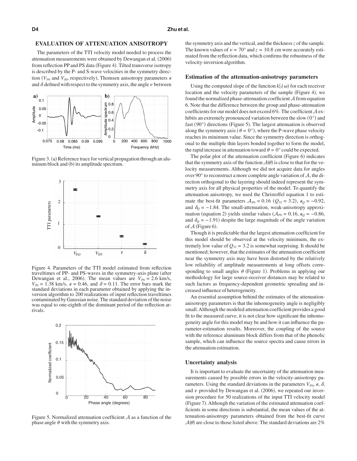#### **EVALUATION OF ATTENUATION ANISOTROPY**

The parameters of the TTI velocity model needed to process the attenuation measurements were obtained by Dewangan et al. (2006) from reflection PP and PS data (Figure 4). Tilted transverse isotropy is described by the P- and S-wave velocities in the symmetry direction ( $V_{P0}$  and  $V_{S0}$ , respectively), Thomsen anisotropy parameters  $\epsilon$ and  $\delta$  defined with respect to the symmetry axis, the angle  $\nu$  between



Figure 3. (a) Reference trace for vertical propagation through an aluminum block and (b) its amplitude spectrum.



Figure 4. Parameters of the TTI model estimated from reflection traveltimes of PP- and PS-waves in the symmetry-axis plane (after Dewangan et al., 2006). The mean values are  $V_{p0} = 2.6 \text{ km/s}$ ,  $V_{S0} = 1.38$  km/s,  $\epsilon = 0.46$ , and  $\delta = 0.11$ . The error bars mark the standard deviations in each parameter obtained by applying the inversion algorithm to 200 realizations of input reflection traveltimes contaminated by Gaussian noise. The standard deviation of the noise was equal to one-eighth of the dominant period of the reflection arrivals.



Figure 5. Normalized attenuation coefficient  $A$  as a function of the phase angle  $\theta$  with the symmetry axis.

the symmetry axis and the vertical, and the thickness*z* of the sample. The known values of  $\nu = 70^{\circ}$  and  $z = 10.8$  cm were accurately estimated from the reflection data, which confirms the robustness of the velocity-inversion algorithm.

#### **Estimation of the attenuation-anisotropy parameters**

Using the computed slope of the function  $k_G^I(\omega)$  for each receiver location and the velocity parameters of the sample (Figure 4), we found the normalized phase-attenuation coefficient A from equation 6. Note that the difference between the group and phase-attenuation coefficients for our model does not exceed 6%. The coefficient  $A$  exhibits an extremely pronounced variation between the slow  $(0^{\circ})$  and fast (90°) directions (Figure 5). The largest attenuation is observed along the symmetry axis ( $\theta = 0^{\circ}$ ), where the P-wave phase velocity reaches its minimum value. Since the symmetry direction is orthogonal to the multiple thin layers bonded together to form the model, the rapid increase in attenuation toward  $\theta = 0^{\circ}$  could be expected.

The polar plot of the attenuation coefficient (Figure 6) indicates that the symmetry axis of the function  $A(\theta)$  is close to that for the velocity measurements. Although we did not acquire data for angles over 90° to reconstruct a more complete angle variation of A, the direction orthogonal to the layering should indeed represent the symmetry axis for all physical properties of the model. To quantify the attenuation anisotropy, we used the Christoffel equation 1 to estimate the best-fit parameters  $A_{P0} = 0.16$  ( $Q_{33} = 3.2$ ),  $\epsilon_Q = -0.92$ , and  $\delta_{\varrho}$  = -1.84. The small-attenuation, weak-anisotropy approximation (equation 2) yields similar values  $(A_{P0} = 0.16, \epsilon_Q = -0.86,$ and  $\delta_{\varrho}$  = -1.91) despite the large magnitude of the angle variation of  $A$  (Figure 6).

Though it is predictable that the largest attenuation coefficient for this model should be observed at the velocity minimum, the extremely low value of  $Q_{33} = 3.2$  is somewhat surprising. It should be mentioned; however, that the estimates of the attenuation coefficient near the symmetry axis may have been distorted by the relatively low reliability of amplitude measurements at long offsets corresponding to small angles  $\theta$  (Figure 1). Problems in applying our methodology for large source-receiver distances may be related to such factors as frequency-dependent geometric spreading and increased influence of heterogeneity.

An essential assumption behind the estimates of the attenuationanisotropy parameters is that the inhomogeneity angle is negligibly small.Although the modeled attenuation coefficient provides a good fit to the measured curve, it is not clear how significant the inhomogeneity angle for this model may be and how it can influence the parameter-estimation results. Moreover, the coupling of the source with the reference aluminum block differs from that of the phenolic sample, which can influence the source spectra and cause errors in the attenuation estimation.

#### **Uncertainty analysis**

It is important to evaluate the uncertainty of the attenuation measurements caused by possible errors in the velocity-anisotropy parameters. Using the standard deviations in the parameters  $V_{p0}$ ,  $\epsilon$ ,  $\delta$ , and  $\nu$  provided by Dewangan et al. (2006), we repeated our inversion procedure for 50 realizations of the input TTI velocity model (Figure 7). Although the variation of the estimated attenuation coefficients in some directions is substantial, the mean values of the attenuation-anisotropy parameters obtained from the best-fit curve  $A(\theta)$  are close to those listed above. The standard deviations are 2%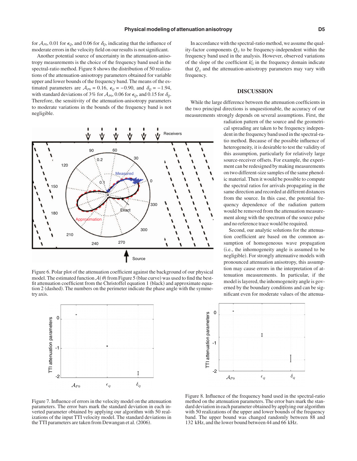for  $A_{p0}$ , 0.01 for  $\epsilon_{Q}$ , and 0.06 for  $\delta_{Q}$ , indicating that the influence of moderate errors in the velocity field on our results is not significant.

Another potential source of uncertainty in the attenuation-anisotropy measurements is the choice of the frequency band used in the spectral-ratio method. Figure 8 shows the distribution of 50 realizations of the attenuation-anisotropy parameters obtained for variable upper and lower bounds of the frequency band. The means of the estimated parameters are  $A_{P0} = 0.16$ ,  $\epsilon_Q = -0.90$ , and  $\delta_Q = -1.94$ , with standard deviations of 3% for  $A_{p0}$ , 0.06 for  $\epsilon_{Q}$ , and 0.15 for  $\delta_{Q}$ . Therefore, the sensitivity of the attenuation-anisotropy parameters to moderate variations in the bounds of the frequency band is not negligible.



Figure 6. Polar plot of the attenuation coefficient against the background of our physical model. The estimated function  $\mathcal{A}(\theta)$  from Figure 5 (blue curve) was used to find the bestfit attenuation coefficient from the Christoffel equation 1 (black) and approximate equation 2 (dashed). The numbers on the perimeter indicate the phase angle with the symmetry axis.



Figure 7. Influence of errors in the velocity model on the attenuation parameters. The error bars mark the standard deviation in each inverted parameter obtained by applying our algorithm with 50 realizations of the input TTI velocity model. The standard deviations in the TTI parameters are taken from Dewangan et al. (2006).

#### **DISCUSSION**

While the large difference between the attenuation coefficients in the two principal directions is unquestionable, the accuracy of our measurements strongly depends on several assumptions. First, the

> radiation pattern of the source and the geometrical spreading are taken to be frequency independent in the frequency band used in the spectral-ratio method. Because of the possible influence of heterogeneity, it is desirable to test the validity of this assumption, particularly for relatively large source-receiver offsets. For example, the experiment can be redesigned by making measurements on two different-size samples of the same phenolic material. Then it would be possible to compute the spectral ratios for arrivals propagating in the same direction and recorded at different distances from the source. In this case, the potential frequency dependence of the radiation pattern would be removed from the attenuation measurement along with the spectrum of the source pulse and no reference trace would be required.

> Second, our analytic solutions for the attenuation coefficient are based on the common assumption of homogeneous wave propagation i.e., the inhomogeneity angle is assumed to be negligible). For strongly attenuative models with pronounced attenuation anisotropy, this assumption may cause errors in the interpretation of attenuation measurements. In particular, if the model is layered, the inhomogeneity angle is governed by the boundary conditions and can be significant even for moderate values of the attenua-



Figure 8. Influence of the frequency band used in the spectral-ratio method on the attenuation parameters. The error bars mark the standard deviation in each parameter obtained by applying our algorithm with 50 realizations of the upper and lower bounds of the frequency band. The upper bound was changed randomly between 88 and 132 kHz, and the lower bound between 44 and 66 kHz.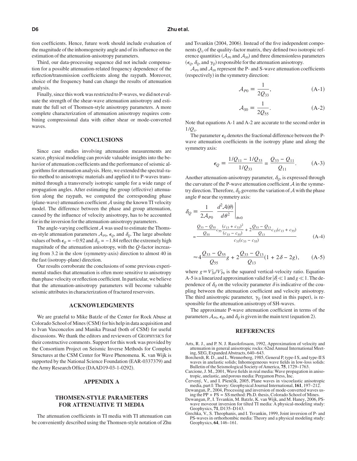tion coefficients. Hence, future work should include evaluation of the magnitude of the inhomogeneity angle and of its influence on the estimation of the attenuation-anisotropy parameters.

Third, our data-processing sequence did not include compensation for a possible attenuation-related frequency dependence of the reflection/transmission coefficients along the raypath. Moreover, choice of the frequency band can change the results of attenuation analysis.

Finally, since this work was restricted to P-waves, we did not evaluate the strength of the shear-wave attenuation anisotropy and estimate the full set of Thomsen-style anisotropy parameters. A more complete characterization of attenuation anisotropy requires combining compressional data with either shear or mode-converted waves.

#### **CONCLUSIONS**

Since case studies involving attenuation measurements are scarce, physical modeling can provide valuable insights into the behavior of attenuation coefficients and the performance of seismic algorithms for attenuation analysis. Here, we extended the spectral-ratio method to anisotropic materials and applied it to P-waves transmitted through a transversely isotropic sample for a wide range of propagation angles. After estimating the group (effective) attenuation along the raypath, we computed the corresponding phase (plane-wave) attenuation coefficient  $A$  using the known TI velocity model. The difference between the phase and group attenuation, caused by the influence of velocity anisotropy, has to be accounted for in the inversion for the attenuation-anisotropy parameters.

The angle-varying coefficient  $A$  was used to estimate the Thomsen-style attenuation parameters  $A_{p_0}$ ,  $\epsilon_Q$ , and  $\delta_Q$ . The large absolute values of both  $\epsilon_{Q} = -0.92$  and  $\delta_{Q} = -1.84$  reflect the extremely high magnitude of the attenuation anisotropy, with the *Q*-factor increasing from 3.2 in the slow (symmetry-axis) direction to almost 40 in the fast (isotropy-plane) direction.

Our results corroborate the conclusions of some previous experimental studies that attenuation is often more sensitive to anisotropy than phase velocity or reflection coefficient. In particular, we believe that the attenuation-anisotropy parameters will become valuable seismic attributes in characterization of fractured reservoirs.

#### **ACKNOWLEDGMENTS**

We are grateful to Mike Batzle of the Center for Rock Abuse at Colorado School of Mines (CSM) for his help in data acquisition and to Ivan Vasconcelos and Manika Prasad (both of CSM) for useful discussions. We thank the editors and reviewers of GEOPHYSICS for their constructive comments. Support for this work was provided by the Consortium Project on Seismic Inverse Methods for Complex Structures at the CSM Center for Wave Phenomena. K. van Wijk is supported by the National Science Foundation (EAR-0337379) and the Army Research Office (DAAD19-03-1-0292).

#### **APPENDIX A**

#### **THOMSEN-STYLE PARAMETERS FOR ATTENUATIVE TI MEDIA**

The attenuation coefficients in TI media with TI attenuation can be conveniently described using the Thomsen-style notation of Zhu

and Tsvankin (2004, 2006). Instead of the five independent components *Qij* of the quality-factor matrix, they defined two isotropic reference quantities ( $A_{P0}$  and  $A_{S0}$ ) and three dimensionless parameters  $(\epsilon_{\varrho}, \delta_{\varrho}, \text{and } \gamma_{\varrho})$  responsible for the attenuation anisotropy.

 $\mathcal{A}_{P0}$  and  $\mathcal{A}_{S0}$  represent the P- and S-wave attenuation coefficients (respectively) in the symmetry direction:

$$
\mathcal{A}_{P0} \equiv \frac{1}{2Q_{33}},\tag{A-1}
$$

$$
\mathcal{A}_{S0} \equiv \frac{1}{2Q_{55}}.\tag{A-2}
$$

Note that equations A-1 and A-2 are accurate to the second order in 1/*Qii*.

The parameter  $\epsilon_0$  denotes the fractional difference between the Pwave attenuation coefficients in the isotropy plane and along the symmetry axis:

$$
\epsilon_{Q} = \frac{1/Q_{11} - 1/Q_{33}}{1/Q_{33}} = \frac{Q_{33} - Q_{11}}{Q_{11}}.
$$
 (A-3)

Another attenuation-anisotropy parameter,  $\delta_{Q}$ , is expressed through the curvature of the P-wave attenuation coefficient  $A$  in the symmetry direction. Therefore,  $\delta_Q$  governs the variation of  $\mathcal A$  with the phase angle  $\theta$  near the symmetry axis:

$$
\delta_Q = \frac{1}{2A_{P0}} \left. \frac{d^2 \mathcal{A}(\theta)}{d\theta^2} \right|_{\theta=0}
$$
  
= 
$$
\frac{Q_{33} - Q_{55}}{Q_{55}} \frac{(c_{13} + c_{33})^2}{(c_{33} - c_{55})} + 2 \frac{Q_{33} - Q_{13}}{Q_{13}} c_{13}(c_{13} + c_{55})
$$
  
= 
$$
\frac{C_{33}(c_{33} - c_{55})}{c_{33}(c_{33} - c_{55})}
$$
(A-4)

$$
\approx 4 \frac{Q_{33} - Q_{55}}{Q_{55}}g + 2 \frac{Q_{33} - Q_{13}}{Q_{13}}(1 + 2\delta - 2g), \quad (A-5)
$$

where  $g = V_{.0}^2 / V_{.P0}^2$  is the squared vertical-velocity ratio. Equation A-5 is a linearized approximation valid for  $|\delta| \ll 1$  and  $g \ll 1$ . The dependence of  $\delta_{\varrho}$  on the velocity parameter  $\delta$  is indicative of the coupling between the attenuation coefficient and velocity anisotropy. The third anisotropic parameter,  $\gamma_{\varrho}$  (not used in this paper), is responsible for the attenuation anisotropy of SH-waves.

The approximate P-wave attenuation coefficient in terms of the parameters  $\mathcal{A}_{P0}$ ,  $\epsilon_Q$ , and  $\delta_Q$  is given in the main text (equation 2).

#### **REFERENCES**

- Arts, R. J., and P. N. J. Rasolofosaon, 1992, Approximation of velocity and attenuation in general anisotropic rocks: 62nd Annual International Meeting, SEG, Expanded Abstracts, 640-643.
- Borcherdt, R. D., and L. Wennerberg, 1985, General P, type-I S, and type-II S waves in anelastic solids; Inhomogeneous wave fields in low-loss solids: Bulletin of the Seismological Society of America, 75, 1729-1763.
- Carcione, J. M., 2001, Wave fields in real media: Wave propagation in anisotropic, anelastic, and porous media: Pergamon Press, Inc.
- Červený, V., and I. Pšenčík, 2005, Plane waves in viscoelastic anisotropic media, part I: Theory: Geophysical Journal International, **161**, 197–212.
- Dewangan, P., 2004, Processing and inversion of mode-converted waves using the PP + PS = SS method: Ph.D. thesis, Colorado School of Mines.
- Dewangan, P., I. Tsvankin, M. Batzle, K. van Wijk, and M. Haney, 2006, PS-wave moveout inversion for tilted TI media: A physical-modeling study: Geophysics, **71**, D135–D143.
- Grechka, V., S. Theophanis, and I. Tsvankin, 1999, Joint inversion of P- and PS-waves in orthorhombic media: Theory and a physical modeling study: Geophysics, **64**, 146–161.